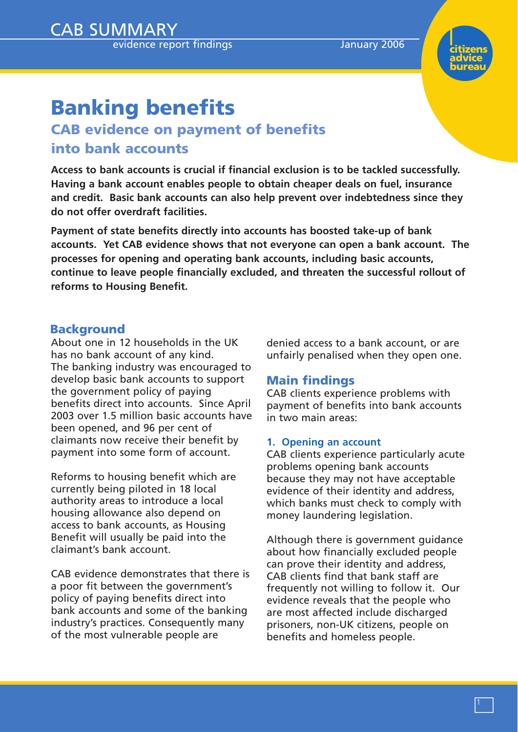evidence report findings and a languary 2006



# **Banking benefits**

CAB SUMMARY

# **CAB evidence on payment of benefits into bank accounts**

**Access to bank accounts is crucial if financial exclusion is to be tackled successfully. Having a bank account enables people to obtain cheaper deals on fuel, insurance and credit. Basic bank accounts can also help prevent over indebtedness since they do not offer overdraft facilities.**

**Payment of state benefits directly into accounts has boosted take-up of bank accounts. Yet CAB evidence shows that not everyone can open a bank account. The processes for opening and operating bank accounts, including basic accounts, continue to leave people financially excluded, and threaten the successful rollout of reforms to Housing Benefit.**

# **Background**

About one in 12 households in the UK has no bank account of any kind. The banking industry was encouraged to develop basic bank accounts to support the government policy of paying benefits direct into accounts. Since April 2003 over 1.5 million basic accounts have been opened, and 96 per cent of claimants now receive their benefit by payment into some form of account.

Reforms to housing benefit which are currently being piloted in 18 local authority areas to introduce a local housing allowance also depend on access to bank accounts, as Housing Benefit will usually be paid into the claimant's bank account.

CAB evidence demonstrates that there is a poor fit between the government's policy of paying benefits direct into bank accounts and some of the banking industry's practices. Consequently many of the most vulnerable people are

denied access to a bank account, or are unfairly penalised when they open one.

# **Main findings**

CAB clients experience problems with payment of benefits into bank accounts in two main areas:

# **1. Opening an account**

CAB clients experience particularly acute problems opening bank accounts because they may not have acceptable evidence of their identity and address, which banks must check to comply with money laundering legislation.

Although there is government guidance about how financially excluded people can prove their identity and address, CAB clients find that bank staff are frequently not willing to follow it. Our evidence reveals that the people who are most affected include discharged prisoners, non-UK citizens, people on benefits and homeless people.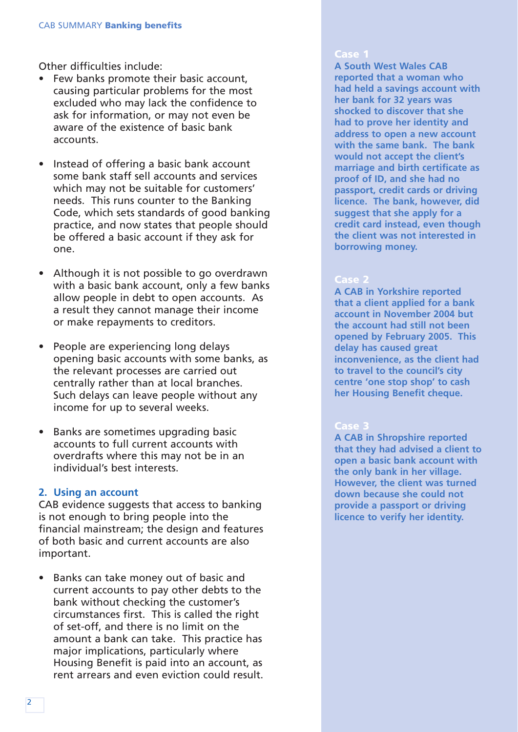Other difficulties include:

- Few banks promote their basic account, causing particular problems for the most excluded who may lack the confidence to ask for information, or may not even be aware of the existence of basic bank accounts.
- Instead of offering a basic bank account some bank staff sell accounts and services which may not be suitable for customers' needs. This runs counter to the Banking Code, which sets standards of good banking practice, and now states that people should be offered a basic account if they ask for one.
- Although it is not possible to go overdrawn with a basic bank account, only a few banks allow people in debt to open accounts. As a result they cannot manage their income or make repayments to creditors.
- People are experiencing long delays opening basic accounts with some banks, as the relevant processes are carried out centrally rather than at local branches. Such delays can leave people without any income for up to several weeks.
- Banks are sometimes upgrading basic accounts to full current accounts with overdrafts where this may not be in an individual's best interests.

# **2. Using an account**

CAB evidence suggests that access to banking is not enough to bring people into the financial mainstream; the design and features of both basic and current accounts are also important.

• Banks can take money out of basic and current accounts to pay other debts to the bank without checking the customer's circumstances first. This is called the right of set-off, and there is no limit on the amount a bank can take. This practice has major implications, particularly where Housing Benefit is paid into an account, as rent arrears and even eviction could result.

#### **Case 1**

**A South West Wales CAB reported that a woman who had held a savings account with her bank for 32 years was shocked to discover that she had to prove her identity and address to open a new account with the same bank. The bank would not accept the client's marriage and birth certificate as proof of ID, and she had no passport, credit cards or driving licence. The bank, however, did suggest that she apply for a credit card instead, even though the client was not interested in borrowing money.**

#### **Case 2**

**A CAB in Yorkshire reported that a client applied for a bank account in November 2004 but the account had still not been opened by February 2005. This delay has caused great inconvenience, as the client had to travel to the council's city centre 'one stop shop' to cash her Housing Benefit cheque.**

# **Case 3**

**A CAB in Shropshire reported that they had advised a client to open a basic bank account with the only bank in her village. However, the client was turned down because she could not provide a passport or driving licence to verify her identity.**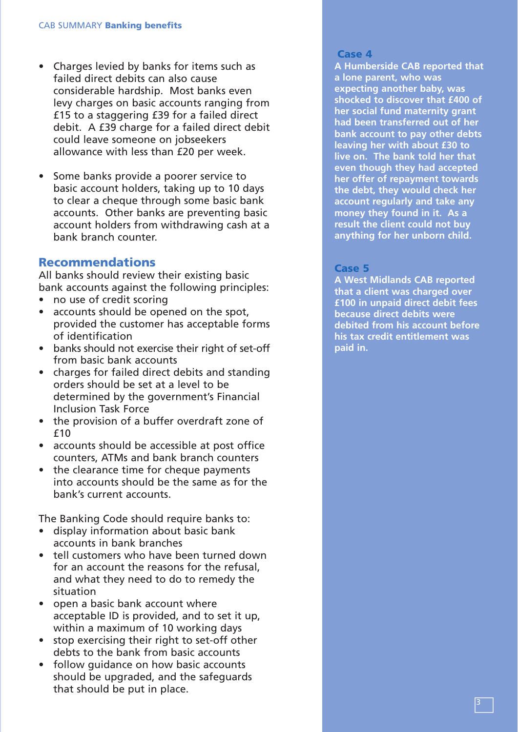- Charges levied by banks for items such as failed direct debits can also cause considerable hardship. Most banks even levy charges on basic accounts ranging from £15 to a staggering £39 for a failed direct debit. A £39 charge for a failed direct debit could leave someone on jobseekers allowance with less than £20 per week.
- Some banks provide a poorer service to basic account holders, taking up to 10 days to clear a cheque through some basic bank accounts. Other banks are preventing basic account holders from withdrawing cash at a bank branch counter.

# **Recommendations**

All banks should review their existing basic bank accounts against the following principles:

- no use of credit scoring
- accounts should be opened on the spot, provided the customer has acceptable forms of identification
- banks should not exercise their right of set-off from basic bank accounts
- charges for failed direct debits and standing orders should be set at a level to be determined by the government's Financial Inclusion Task Force
- the provision of a buffer overdraft zone of £10
- accounts should be accessible at post office counters, ATMs and bank branch counters
- the clearance time for cheque payments into accounts should be the same as for the bank's current accounts.

The Banking Code should require banks to:

- display information about basic bank accounts in bank branches
- tell customers who have been turned down for an account the reasons for the refusal, and what they need to do to remedy the situation
- open a basic bank account where acceptable ID is provided, and to set it up, within a maximum of 10 working days
- stop exercising their right to set-off other debts to the bank from basic accounts
- follow guidance on how basic accounts should be upgraded, and the safeguards that should be put in place.

#### **Case 4**

**A Humberside CAB reported that a lone parent, who was expecting another baby, was shocked to discover that £400 of her social fund maternity grant had been transferred out of her bank account to pay other debts leaving her with about £30 to live on. The bank told her that even though they had accepted her offer of repayment towards the debt, they would check her account regularly and take any money they found in it. As a result the client could not buy anything for her unborn child.**

# **Case 5**

**A West Midlands CAB reported that a client was charged over £100 in unpaid direct debit fees because direct debits were debited from his account before his tax credit entitlement was paid in.**